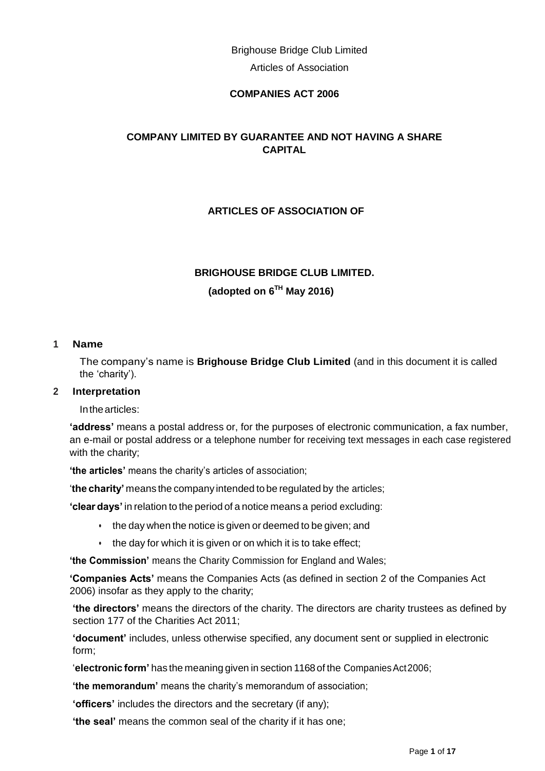Brighouse Bridge Club Limited Articles of Association

## **COMPANIES ACT 2006**

## **COMPANY LIMITED BY GUARANTEE AND NOT HAVING A SHARE CAPITAL**

## **ARTICLES OF ASSOCIATION OF**

# **BRIGHOUSE BRIDGE CLUB LIMITED. (adopted on 6 TH May 2016)**

#### **1 Name**

The company's name is **Brighouse Bridge Club Limited** (and in this document it is called the 'charity').

#### **2 Interpretation**

Inthearticles:

**'address'** means a postal address or, for the purposes of electronic communication, a fax number, an e-mail or postal address or a telephone number for receiving text messages in each case registered with the charity:

**'the articles'** means the charity's articles of association;

'**the charity'** means the company intended to be regulated by the articles;

**'clear days'** in relation to the period of a notice means a period excluding:

- the day when the notice is given or deemed to be given; and
- the day for which it is given or on which it is to take effect;

**'the Commission'** means the Charity Commission for England and Wales;

**'Companies Acts'** means the Companies Acts (as defined in section 2 of the Companies Act 2006) insofar as they apply to the charity;

**'the directors'** means the directors of the charity. The directors are charity trustees as defined by section 177 of the Charities Act 2011;

**'document'** includes, unless otherwise specified, any document sent or supplied in electronic form;

'**electronic form'** has the meaning given in section 1168of the CompaniesAct2006;

**'the memorandum'** means the charity's memorandum of association;

**'officers'** includes the directors and the secretary (if any);

**'the seal'** means the common seal of the charity if it has one;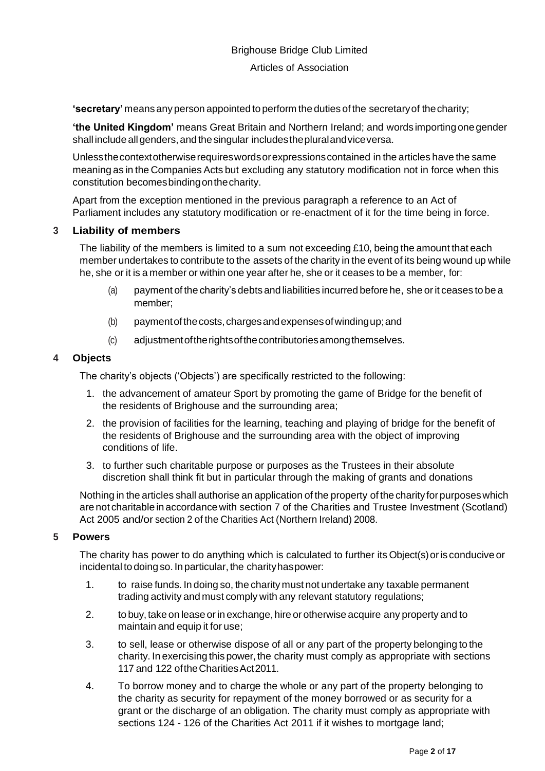**'secretary'** means any person appointed to perform the duties of the secretaryof thecharity;

**'the United Kingdom'** means Great Britain and Northern Ireland; and words importingonegender shall include all genders, and the singular includes the plural and vice versa.

Unlessthecontextotherwiserequireswordsorexpressionscontained in the articles have the same meaning as in the Companies Acts but excluding any statutory modification not in force when this constitution becomesbindingonthecharity.

Apart from the exception mentioned in the previous paragraph a reference to an Act of Parliament includes any statutory modification or re-enactment of it for the time being in force.

## **3 Liability of members**

The liability of the members is limited to a sum not exceeding £10, being the amount that each member undertakes to contribute to the assets of the charity in the event of its being wound up while he, she or it is a member or within one year after he, she or it ceases to be a member, for:

- (a) payment of the charity's debts and liabilities incurred before he, she orit ceases to be a member;
- (b) paymentofthecosts,chargesandexpensesofwindingup;and
- (c) adjustmentoftherightsofthecontributoriesamongthemselves.

## **4 Objects**

The charity's objects ('Objects') are specifically restricted to the following:

- 1. the advancement of amateur Sport by promoting the game of Bridge for the benefit of the residents of Brighouse and the surrounding area;
- 2. the provision of facilities for the learning, teaching and playing of bridge for the benefit of the residents of Brighouse and the surrounding area with the object of improving conditions of life.
- 3. to further such charitable purpose or purposes as the Trustees in their absolute discretion shall think fit but in particular through the making of grants and donations

Nothing in the articles shall authorise an application of the property of the charity forpurposeswhich are not charitable in accordancewith section 7 of the Charities and Trustee Investment (Scotland) Act 2005 and/or section 2 of the Charities Act (Northern Ireland) 2008.

## **5 Powers**

The charity has power to do anything which is calculated to further its Object(s)oris conduciveor incidental to doing so. Inparticular, the charityhaspower:

- 1. to raise funds. In doing so, the charity must not undertake any taxable permanent trading activity and must comply with any relevant statutory regulations;
- 2. to buy, take on lease orin exchange,hire or otherwise acquire any property and to maintain and equip it for use:
- 3. to sell, lease or otherwise dispose of all or any part of the property belonging to the charity. In exercising this power, the charity must comply as appropriate with sections 117 and 122 oftheCharitiesAct2011.
- 4. To borrow money and to charge the whole or any part of the property belonging to the charity as security for repayment of the money borrowed or as security for a grant or the discharge of an obligation. The charity must comply as appropriate with sections 124 - 126 of the Charities Act 2011 if it wishes to mortgage land;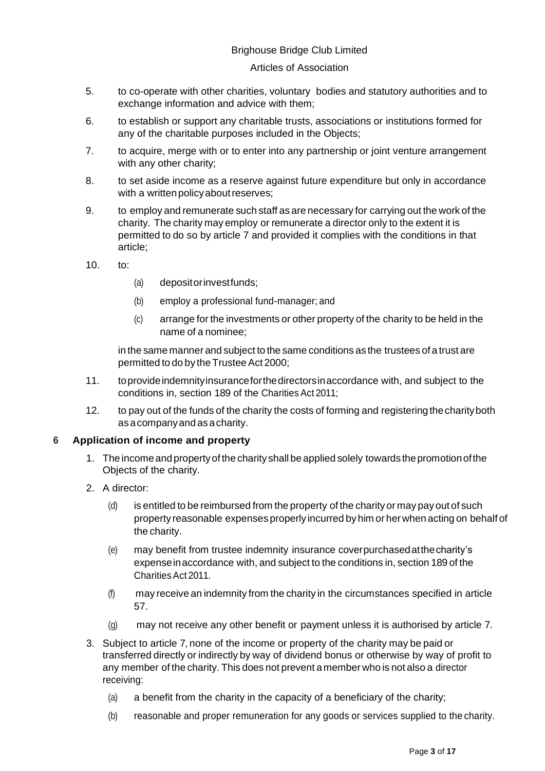#### Articles of Association

- 5. to co-operate with other charities, voluntary bodies and statutory authorities and to exchange information and advice with them;
- 6. to establish or support any charitable trusts, associations or institutions formed for any of the charitable purposes included in the Objects;
- 7. to acquire, merge with or to enter into any partnership or joint venture arrangement with any other charity;
- 8. to set aside income as a reserve against future expenditure but only in accordance with a written policy about reserves;
- 9. to employ and remunerate such staff as are necessary for carrying out the work of the charity. The charity may employ or remunerate a director only to the extent it is permitted to do so by article 7 and provided it complies with the conditions in that article;
- 10. to:
- (a) depositorinvestfunds;
- (b) employ a professional fund-manager; and
- (c) arrange for the investments or other property of the charity to be held in the name of a nominee;

in the same manner and subject to the same conditions as the trustees of a trust are permitted to do by the Trustee Act 2000;

- 11. toprovideindemnityinsuranceforthedirectorsinaccordance with, and subject to the conditions in, section 189 of the Charities Act 2011;
- 12. to pay out of the funds of the charity the costs of forming and registering the charity both asacompanyandasacharity.

## **6 Application of income and property**

- 1. The incomeandpropertyof the charity shallbe applied solely towards thepromotionofthe Objects of the charity.
- 2. A director:
	- (d) is entitled to be reimbursed from the property of the charity or may pay out of such property reasonable expenses properly incurred by him or herwhen acting on behalf of the charity.
	- (e) may benefit from trustee indemnity insurance coverpurchasedatthecharity's expenseinaccordance with, and subject to the conditions in, section 189 of the CharitiesAct 2011.
	- (f) may receive an indemnity from the charity in the circumstances specified in article 57.
	- (g) may not receive any other benefit or payment unless it is authorised by article 7.
- 3. Subject to article 7, none of the income or property of the charity may be paid or transferred directly or indirectly by way of dividend bonus or otherwise by way of profit to any member of the charity. This does not prevent a member who is not also a director receiving:
	- (a) a benefit from the charity in the capacity of a beneficiary of the charity;
	- (b) reasonable and proper remuneration for any goods or services supplied to the charity.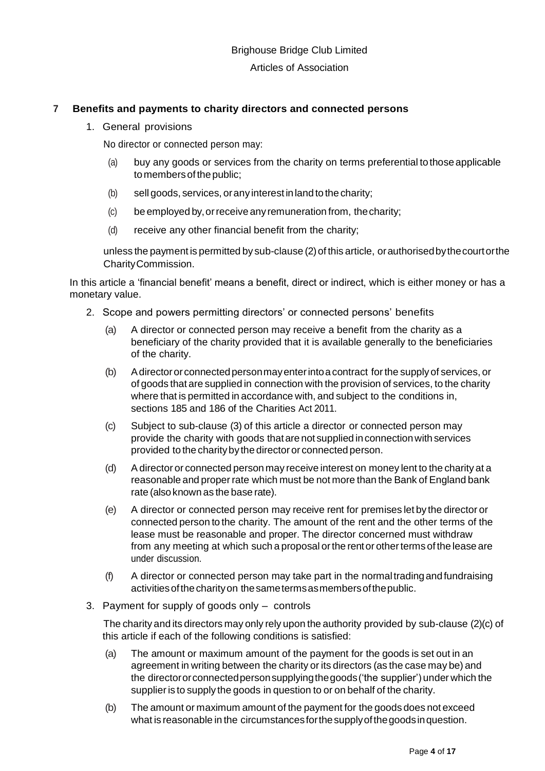## **7 Benefits and payments to charity directors and connected persons**

1. General provisions

No director or connected person may:

- (a) buy any goods or services from the charity on terms preferential tothoseapplicable to members of the public;
- (b) sellgoods, services, orany interest inland to the charity;
- (c) be employed by,orreceive any remuneration from, thecharity;
- (d) receive any other financial benefit from the charity;

unless the payment is permitted by sub-clause (2)of this article, orauthorisedbythecourtorthe CharityCommission.

In this article a 'financial benefit' means a benefit, direct or indirect, which is either money or has a monetary value.

- 2. Scope and powers permitting directors' or connected persons' benefits
	- (a) A director or connected person may receive a benefit from the charity as a beneficiary of the charity provided that it is available generally to the beneficiaries of the charity.
	- (b) Adirectororconnectedpersonmayenterintoacontract forthe supply of services, or of goods that are supplied in connection with the provision of services, to the charity where that is permitted in accordance with, and subject to the conditions in, sections 185 and 186 of the Charities Act 2011.
	- (c) Subject to sub-clause (3) of this article a director or connected person may provide the charity with goods thatare not supplied inconnectionwith services provided to the charitybythe director or connected person.
	- (d) Adirector or connected person may receive interest on money lent to the charity at a reasonable and proper rate which must be not more than the Bank of England bank rate (also known as the base rate).
	- (e) A director or connected person may receive rent for premises let by the director or connected person to the charity. The amount of the rent and the other terms of the lease must be reasonable and proper. The director concerned must withdraw from any meeting at which such a proposal orthe rentor otherterms of the lease are under discussion.
	- (f) A director or connected person may take part in the normaltradingandfundraising activitiesofthecharityon thesametermsasmembersofthepublic.
- 3. Payment for supply of goods only controls

The charity and its directors may only rely upon the authority provided by sub-clause (2)(c) of this article if each of the following conditions is satisfied:

- (a) The amount or maximum amount of the payment for the goods is set out in an agreement in writing between the charity or its directors (as the case may be) and the directororconnectedpersonsupplyingthegoods('the supplier') under which the supplier is to supply the goods in question to or on behalf of the charity.
- (b) The amount or maximum amount of the payment for the goods does not exceed what is reasonable in the circumstancesforthesupplyofthegoodsinquestion.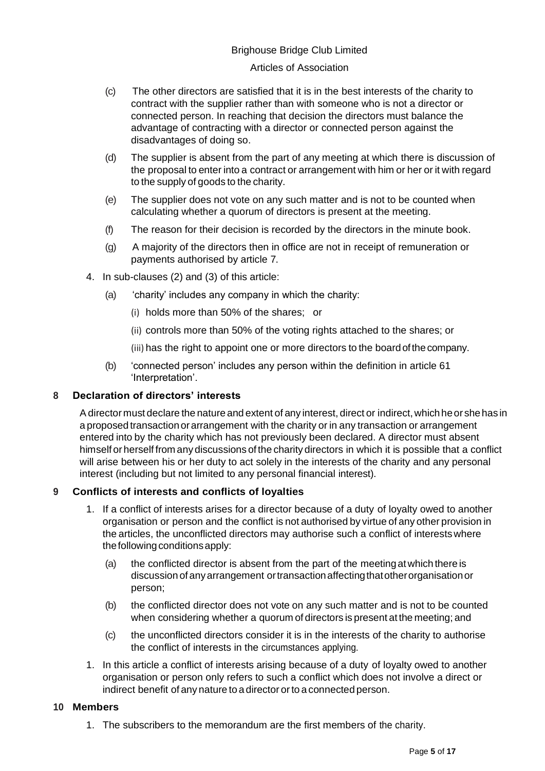#### Articles of Association

- (c) The other directors are satisfied that it is in the best interests of the charity to contract with the supplier rather than with someone who is not a director or connected person. In reaching that decision the directors must balance the advantage of contracting with a director or connected person against the disadvantages of doing so.
- (d) The supplier is absent from the part of any meeting at which there is discussion of the proposal to enter into a contract or arrangement with him or her or it with regard to the supply of goods to the charity.
- (e) The supplier does not vote on any such matter and is not to be counted when calculating whether a quorum of directors is present at the meeting.
- (f) The reason for their decision is recorded by the directors in the minute book.
- (g) A majority of the directors then in office are not in receipt of remuneration or payments authorised by article 7.
- 4. In sub-clauses (2) and (3) of this article:
	- (a) 'charity' includes any company in which the charity:
		- (i) holds more than 50% of the shares; or
		- (ii) controls more than 50% of the voting rights attached to the shares; or
		- (iii) has the right to appoint one or more directors to the boardofthecompany.
	- (b) 'connected person' includes any person within the definition in article 61 'Interpretation'.

## **8 Declaration of directors' interests**

A director must declare the nature and extent of any interest, direct or indirect, which he or she has in a proposed transaction or arrangement with the charity or in any transaction or arrangement entered into by the charity which has not previously been declared. A director must absent himself or herself from any discussions of the charity directors in which it is possible that a conflict will arise between his or her duty to act solely in the interests of the charity and any personal interest (including but not limited to any personal financial interest).

## **9 Conflicts of interests and conflicts of loyalties**

- 1. If a conflict of interests arises for a director because of a duty of loyalty owed to another organisation or person and the conflict is not authorised by virtue of any other provision in the articles, the unconflicted directors may authorise such a conflict of interests where the following conditions apply:
	- (a) the conflicted director is absent from the part of the meetingatwhich there is discussion of anyarrangement ortransactionaffectingthatotherorganisationor person;
	- (b) the conflicted director does not vote on any such matter and is not to be counted when considering whether a quorum of directors is present at the meeting; and
	- (c) the unconflicted directors consider it is in the interests of the charity to authorise the conflict of interests in the circumstances applying.
- 1. In this article a conflict of interests arising because of a duty of loyalty owed to another organisation or person only refers to such a conflict which does not involve a direct or indirect benefit of any nature to a director or to a connected person.

## **10 Members**

1. The subscribers to the memorandum are the first members of the charity.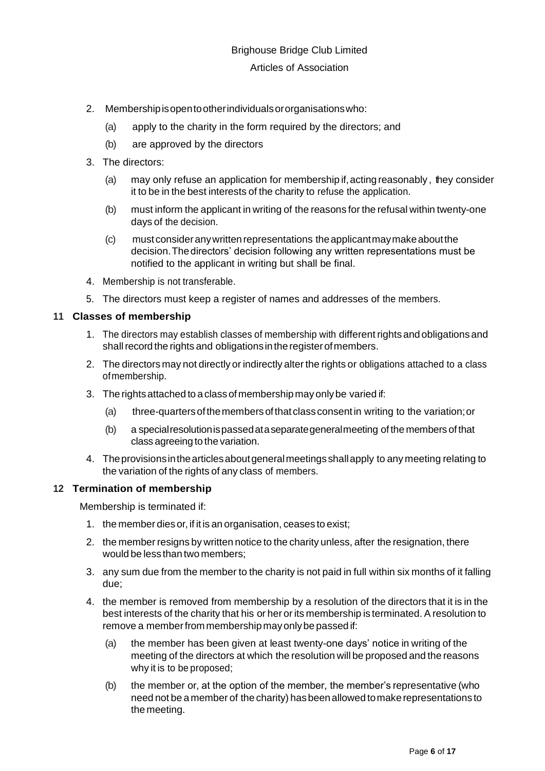- 2. Membershipisopentootherindividualsororganisationswho:
	- (a) apply to the charity in the form required by the directors; and
	- (b) are approved by the directors
- 3. The directors:
	- (a) may only refuse an application for membership if,acting reasonably , they consider it to be in the best interests of the charity to refuse the application.
	- (b) must inform the applicant in writing of the reasons for the refusal within twenty-one days of the decision.
	- $(c)$  must consider any written representations the applicant may make about the decision.Thedirectors' decision following any written representations must be notified to the applicant in writing but shall be final.
- 4. Membership is not transferable.
- 5. The directors must keep a register of names and addresses of the members.

## **11 Classes of membership**

- 1. The directors may establish classes of membership with differentrights and obligations and shall record the rights and obligations in the register of members.
- 2. The directors may not directly or indirectly alter the rights or obligations attached to a class ofmembership.
- 3. The rights attached to a class of membership may only be varied if:
	- (a) three-quartersofthemembersofthat classconsentin writing to the variation;or
	- (b) a specialresolutionispassedataseparategeneralmeeting of the members of that class agreeing to the variation.
- 4. Theprovisionsinthearticlesaboutgeneralmeetings shallapply to any meeting relating to the variation of the rights of any class of members.

## **12 Termination of membership**

Membership is terminated if:

- 1. the member dies or, if it is an organisation, ceases to exist;
- 2. the member resigns by written notice to the charity unless, after the resignation, there would be less than two members;
- 3. any sum due from the member to the charity is not paid in full within six months of it falling due;
- 4. the member is removed from membership by a resolution of the directors that it is in the best interests of the charity that his or her or its membership is terminated.A resolution to remove a member from membership may only be passed if:
	- (a) the member has been given at least twenty-one days' notice in writing of the meeting of the directors at which the resolution will be proposed and the reasons why it is to be proposed;
	- (b) the member or, at the option of the member, the member's representative (who need not be a member of thecharity) hasbeenallowedtomakerepresentations to the meeting.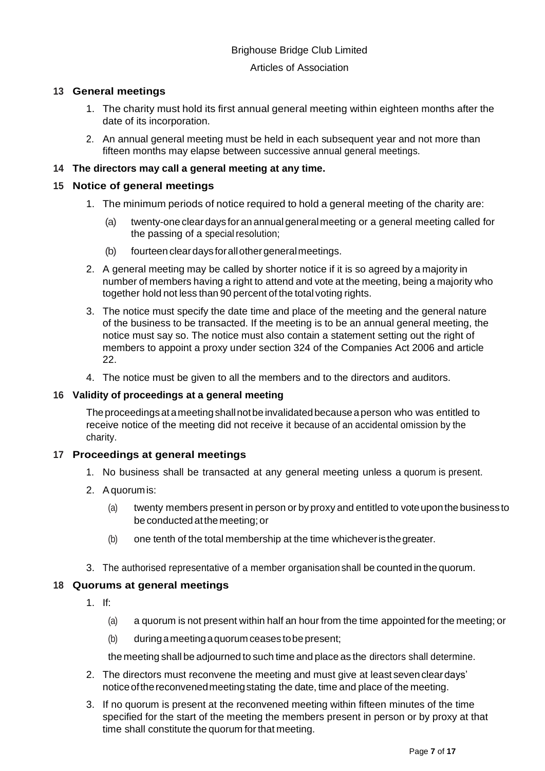#### Articles of Association

## **13 General meetings**

- 1. The charity must hold its first annual general meeting within eighteen months after the date of its incorporation.
- 2. An annual general meeting must be held in each subsequent year and not more than fifteen months may elapse between successive annual general meetings.

## **14 The directors may call a general meeting at any time.**

## **15 Notice of general meetings**

- 1. The minimum periods of notice required to hold a general meeting of the charity are:
	- (a) twenty-one cleardays foran annual generalmeeting or a general meeting called for the passing of a special resolution;
	- (b) fourteen clear days for all other general meetings.
- 2. A general meeting may be called by shorter notice if it is so agreed by a majority in number of members having a right to attend and vote at the meeting, being a majority who together hold not less than 90 percent of the total voting rights.
- 3. The notice must specify the date time and place of the meeting and the general nature of the business to be transacted. If the meeting is to be an annual general meeting, the notice must say so. The notice must also contain a statement setting out the right of members to appoint a proxy under section 324 of the Companies Act 2006 and article 22.
- 4. The notice must be given to all the members and to the directors and auditors.

## **16 Validity of proceedings at a general meeting**

Theproceedingsat ameetingshallnotbe invalidatedbecauseaperson who was entitled to receive notice of the meeting did not receive it because of an accidental omission by the charity.

## **17 Proceedings at general meetings**

- 1. No business shall be transacted at any general meeting unless a quorum is present.
- 2. A quorumis:
	- (a) twenty members present in person or by proxy and entitled to voteuponthe business to be conductedatthemeeting;or
	- (b) one tenth of the total membership at the time whicheveris thegreater.
- 3. The authorised representative of a member organisation shall be counted in the quorum.

## **18 Quorums at general meetings**

- 1. If:
	- (a) a quorum is not present within half an hour from the time appointed for the meeting; or
	- (b) duringameetingaquorum ceases tobepresent;

the meeting shall be adjourned to such time and place as the directors shall determine.

- 2. The directors must reconvene the meeting and must give at least sevencleardays' notice of the reconvened meeting stating the date, time and place of the meeting.
- 3. If no quorum is present at the reconvened meeting within fifteen minutes of the time specified for the start of the meeting the members present in person or by proxy at that time shall constitute the quorum for that meeting.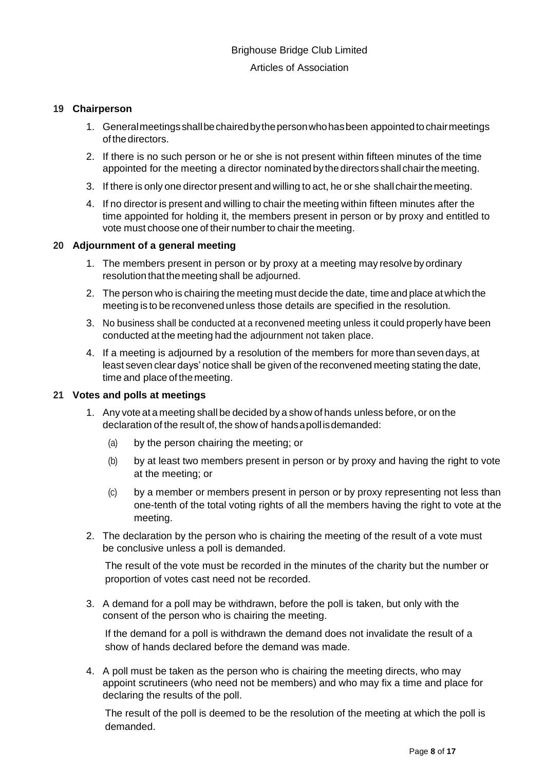#### **19 Chairperson**

- 1. Generalmeetingsshallbechairedbythepersonwhohasbeen appointedtochairmeetings ofthedirectors.
- 2. If there is no such person or he or she is not present within fifteen minutes of the time appointed for the meeting a director nominated bythedirectors shall chairthemeeting.
- 3. If there is only one director present and willing to act, he or she shallchairthemeeting.
- 4. If no director is present and willing to chair the meeting within fifteen minutes after the time appointed for holding it, the members present in person or by proxy and entitled to vote must choose one of their number to chair the meeting.

#### **20 Adjournment of a general meeting**

- 1. The members present in person or by proxy at a meeting may resolve by ordinary resolution that themeeting shall be adjourned.
- 2. The person who is chairing the meeting must decide the date, time and place atwhich the meeting is to be reconvened unless those details are specified in the resolution.
- 3. No business shall be conducted at a reconvened meeting unless it could properly have been conducted at the meeting had the adjournment not taken place.
- 4. If a meeting is adjourned by a resolution of the members for more than seven days, at least seven clear days' notice shall be given of the reconvened meeting stating the date, time and place of themeeting.

#### **21 Votes and polls at meetings**

- 1. Any vote at a meeting shall be decided by a show of hands unless before, or on the declaration of the result of, the show of handsapollisdemanded:
	- (a) by the person chairing the meeting; or
	- (b) by at least two members present in person or by proxy and having the right to vote at the meeting; or
	- (c) by a member or members present in person or by proxy representing not less than one-tenth of the total voting rights of all the members having the right to vote at the meeting.
- 2. The declaration by the person who is chairing the meeting of the result of a vote must be conclusive unless a poll is demanded.

The result of the vote must be recorded in the minutes of the charity but the number or proportion of votes cast need not be recorded.

3. A demand for a poll may be withdrawn, before the poll is taken, but only with the consent of the person who is chairing the meeting.

If the demand for a poll is withdrawn the demand does not invalidate the result of a show of hands declared before the demand was made.

4. A poll must be taken as the person who is chairing the meeting directs, who may appoint scrutineers (who need not be members) and who may fix a time and place for declaring the results of the poll.

The result of the poll is deemed to be the resolution of the meeting at which the poll is demanded.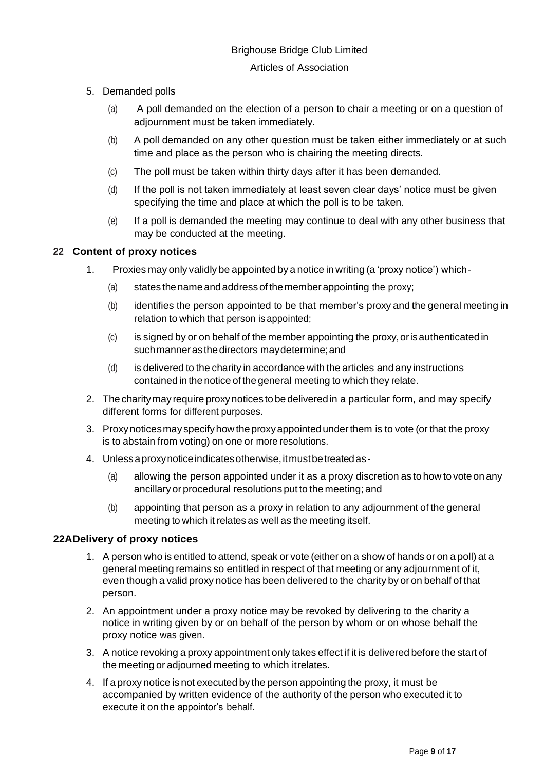#### Articles of Association

- 5. Demanded polls
	- (a) A poll demanded on the election of a person to chair a meeting or on a question of adjournment must be taken immediately.
	- (b) A poll demanded on any other question must be taken either immediately or at such time and place as the person who is chairing the meeting directs.
	- (c) The poll must be taken within thirty days after it has been demanded.
	- (d) If the poll is not taken immediately at least seven clear days' notice must be given specifying the time and place at which the poll is to be taken.
	- (e) If a poll is demanded the meeting may continue to deal with any other business that may be conducted at the meeting.

## **22 Content of proxy notices**

- 1. Proxies may only validly be appointed by a notice in writing (a 'proxy notice') which-
	- (a) states the name and address of the member appointing the proxy;
	- (b) identifies the person appointed to be that member's proxy and the general meeting in relation to which that person is appointed;
	- (c) is signed by or on behalf of the member appointing the proxy,orisauthenticated in suchmannerasthedirectors maydetermine;and
	- (d) is delivered to the charity in accordance with the articles and any instructions contained in the notice of the general meeting to which they relate.
- 2. The charitymay require proxynotices to be deliveredin a particular form, and may specify different forms for different purposes.
- 3. Proxynoticesmay specifyhowtheproxyappointedunderthem is to vote (or that the proxy is to abstain from voting) on one or more resolutions.
- 4. Unlessaproxynoticeindicatesotherwise,itmustbetreatedas-
	- (a) allowing the person appointed under it as a proxy discretion as to how to voteon any ancillary or procedural resolutions put to the meeting; and
	- (b) appointing that person as a proxy in relation to any adjournment of the general meeting to which it relates as well as the meeting itself.

## **22ADelivery of proxy notices**

- 1. A person who is entitled to attend, speak or vote (either on a show of hands or on a poll) at a general meeting remains so entitled in respect of that meeting or any adjournment of it, even though a valid proxy notice has been delivered to the charity by or on behalf of that person.
- 2. An appointment under a proxy notice may be revoked by delivering to the charity a notice in writing given by or on behalf of the person by whom or on whose behalf the proxy notice was given.
- 3. A notice revoking a proxy appointment only takes effect if it is delivered before the start of the meeting or adjourned meeting to which itrelates.
- 4. If a proxy notice is not executed by the person appointing the proxy, it must be accompanied by written evidence of the authority of the person who executed it to execute it on the appointor's behalf.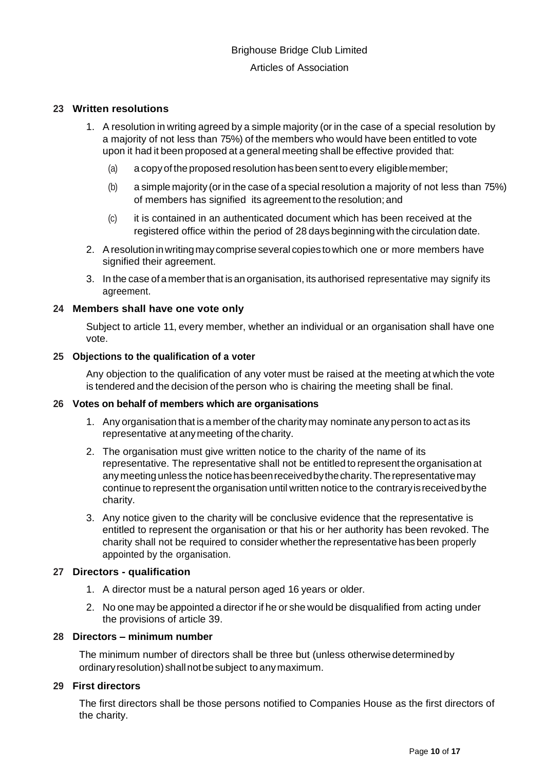#### **23 Written resolutions**

- 1. A resolution in writing agreed by a simple majority (or in the case of a special resolution by a majority of not less than 75%) of the members who would have been entitled to vote upon it had it been proposed at a general meeting shall be effective provided that:
	- (a) a copyof the proposed resolution hasbeen sentto every eligiblemember;
	- (b) a simple majority (orin the case of a special resolution a majority of not less than 75%) of members has signified its agreement to the resolution; and
	- (c) it is contained in an authenticated document which has been received at the registered office within the period of 28 days beginningwith the circulation date.
- 2. Aresolutioninwritingmay comprise several copies towhich one or more members have signified their agreement.
- 3. In the case of a memberthat is an organisation, its authorised representative may signify its agreement.

#### **24 Members shall have one vote only**

Subject to article 11, every member, whether an individual or an organisation shall have one vote.

## **25 Objections to the qualification of a voter**

Any objection to the qualification of any voter must be raised at the meeting at which the vote is tendered and the decision of the person who is chairing the meeting shall be final.

#### **26 Votes on behalf of members which are organisations**

- 1. Any organisation that is a member of the charity may nominate any person to act as its representative at anymeeting of the charity.
- 2. The organisation must give written notice to the charity of the name of its representative. The representative shall not be entitled to represent the organisation at any meeting unless the notice has been received by the charity. The representative may continue to represent the organisation until written notice to the contraryisreceivedbythe charity.
- 3. Any notice given to the charity will be conclusive evidence that the representative is entitled to represent the organisation or that his or her authority has been revoked. The charity shall not be required to consider whether the representative has been properly appointed by the organisation.

#### **27 Directors - qualification**

- 1. A director must be a natural person aged 16 years or older.
- 2. No one may be appointed a director if he or she would be disqualified from acting under the provisions of article 39.

#### **28 Directors – minimum number**

The minimum number of directors shall be three but (unless otherwise determinedby ordinaryresolution)shallnotbesubject to anymaximum.

### **29 First directors**

The first directors shall be those persons notified to Companies House as the first directors of the charity.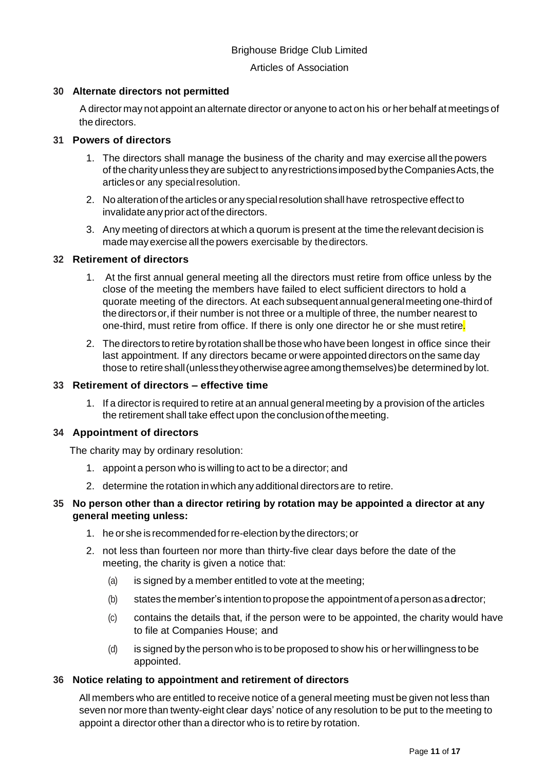#### Articles of Association

## **30 Alternate directors not permitted**

A director may not appoint an alternate director or anyone to act on his or her behalf at meetings of the directors.

## **31 Powers of directors**

- 1. The directors shall manage the business of the charity and may exercise all the powers of the charity unless they are subject to anyrestrictionsimposedbytheCompaniesActs,the articlesor any specialresolution.
- 2. No alteration of the articles or any special resolution shall have retrospective effect to invalidate any prior act of the directors.
- 3. Any meeting of directors at which a quorum is present at the time the relevant decision is made mayexercise all the powers exercisable by thedirectors.

#### **32 Retirement of directors**

- 1. At the first annual general meeting all the directors must retire from office unless by the close of the meeting the members have failed to elect sufficient directors to hold a quorate meeting of the directors. At each subsequentannualgeneralmeetingone-thirdof thedirectorsor,if their number is not three or a multiple of three, the number nearest to one-third, must retire from office. If there is only one director he or she must retire.
- 2. The directors to retire byrotation shallbe thosewho have been longest in office since their last appointment. If any directors became or were appointed directors on the same day those to retireshall(unlesstheyotherwiseagreeamongthemselves)be determined by lot.

#### **33 Retirement of directors – effective time**

1. If a director is required to retire at an annual general meeting by a provision of the articles the retirement shall take effect upon the conclusion of the meeting.

#### **34 Appointment of directors**

The charity may by ordinary resolution:

- 1. appoint a person who is willing to act to be a director; and
- 2. determine the rotation in which any additional directors are to retire.

## **35 No person other than a director retiring by rotation may be appointed a director at any general meeting unless:**

- 1. he or she is recommendedforre-election bythe directors; or
- 2. not less than fourteen nor more than thirty-five clear days before the date of the meeting, the charity is given a notice that:
	- (a) is signed by a member entitled to vote at the meeting;
	- (b) states themember's intention topropose the appointmentofapersonasadirector;
	- (c) contains the details that, if the person were to be appointed, the charity would have to file at Companies House; and
	- (d) is signed by the person who is to be proposed to show his orherwillingness to be appointed.

#### **36 Notice relating to appointment and retirement of directors**

All members who are entitled to receive notice of a general meeting must be given not less than seven nor more than twenty-eight clear days' notice of any resolution to be put to the meeting to appoint a director other than a director who is to retire by rotation.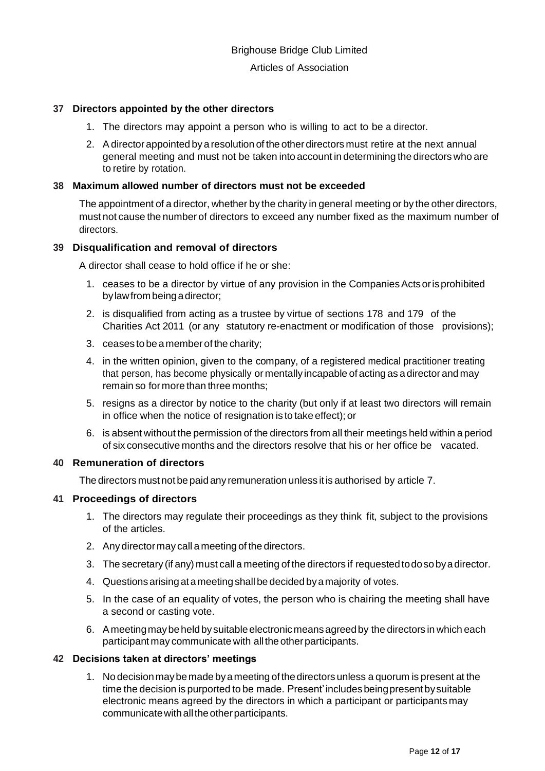#### **37 Directors appointed by the other directors**

- 1. The directors may appoint a person who is willing to act to be a director.
- 2. Adirectorappointed by a resolution of the otherdirectors must retire at the next annual general meeting and must not be taken into account in determining the directors who are to retire by rotation.

#### **38 Maximum allowed number of directors must not be exceeded**

The appointment of a director, whether by the charity in general meeting or by the other directors, must not cause the number of directors to exceed any number fixed as the maximum number of directors.

#### **39 Disqualification and removal of directors**

A director shall cease to hold office if he or she:

- 1. ceases to be a director by virtue of any provision in the Companies Acts or is prohibited bylawfrombeingadirector;
- 2. is disqualified from acting as a trustee by virtue of sections 178 and 179 of the Charities Act 2011 (or any statutory re-enactment or modification of those provisions);
- 3. ceases to be amember of the charity;
- 4. in the written opinion, given to the company, of a registered medical practitioner treating that person, has become physically or mentally incapable of acting as a director and may remain so formore than three months;
- 5. resigns as a director by notice to the charity (but only if at least two directors will remain in office when the notice of resignation is to take effect); or
- 6. is absent without the permission of the directors from all their meetings held within a period of six consecutive months and the directors resolve that his or her office be vacated.

#### **40 Remuneration of directors**

The directors must not be paid any remuneration unless it is authorised by article 7.

#### **41 Proceedings of directors**

- 1. The directors may regulate their proceedings as they think fit, subject to the provisions of the articles.
- 2. Any directormay call a meeting of the directors.
- 3. The secretary (if any) must call a meeting of the directors if requestedtodosobyadirector.
- 4. Questions arising at ameeting shallbe decided byamajority of votes.
- 5. In the case of an equality of votes, the person who is chairing the meeting shall have a second or casting vote.
- 6. Ameetingmaybeheldbysuitableelectronicmeansagreedby the directors in which each participant may communicate with all the other participants.

#### **42 Decisions taken at directors' meetings**

1. No decisionmaybemade byameeting of thedirectors unless a quorum is present at the time the decision is purported to be made. Present' includes being present by suitable electronic means agreed by the directors in which a participant or participants may communicate with all the other participants.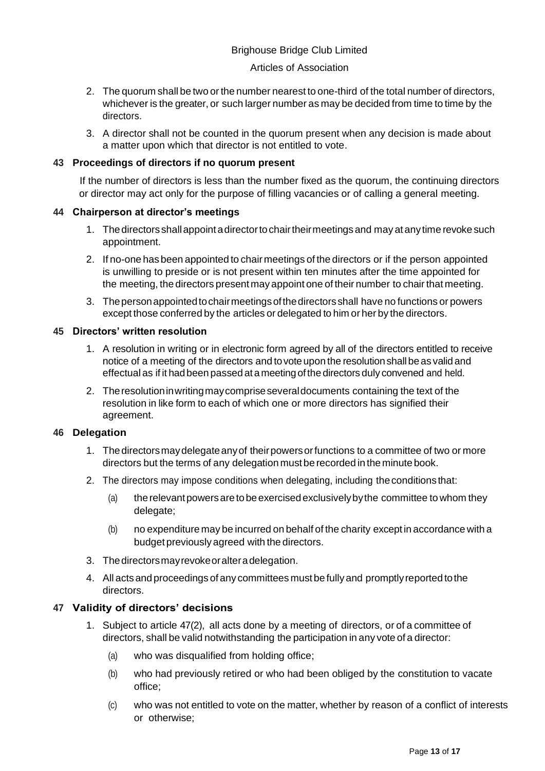#### Articles of Association

- 2. The quorum shall be two or the number nearest to one-third of the total number of directors, whichever is the greater, or such larger number as may be decided from time to time by the directors.
- 3. A director shall not be counted in the quorum present when any decision is made about a matter upon which that director is not entitled to vote.

## **43 Proceedings of directors if no quorum present**

If the number of directors is less than the number fixed as the quorum, the continuing directors or director may act only for the purpose of filling vacancies or of calling a general meeting.

## **44 Chairperson at director's meetings**

- 1. The directors shall appoint a director to chair their meetings and may at any time revoke such appointment.
- 2. If no-one has been appointed to chairmeetings of the directors or if the person appointed is unwilling to preside or is not present within ten minutes after the time appointed for the meeting, the directors present may appoint one of their number to chair that meeting.
- 3. Thepersonappointedtochairmeetingsofthedirectors shall have no functions or powers except those conferred by the articles or delegated to him or her by the directors.

## **45 Directors' written resolution**

- 1. A resolution in writing or in electronic form agreed by all of the directors entitled to receive notice of a meeting of the directors and tovoteupon the resolutionshallbeas valid and effectual as if it hadbeen passed at ameetingofthe directors duly convened and held.
- 2. Theresolutioninwritingmaycompriseseveraldocuments containing the text of the resolution in like form to each of which one or more directors has signified their agreement.

## **46 Delegation**

- 1. Thedirectorsmaydelegateanyof theirpowersorfunctions to a committee of two or more directors but the terms of any delegation must be recorded in the minute book.
- 2. The directors may impose conditions when delegating, including theconditionsthat:
	- (a) the relevant powers are to be exercised exclusively by the committee to whom they delegate:
	- (b) no expenditure may be incurred on behalf of the charity except in accordance with a budget previously agreed with the directors.
- 3. Thedirectorsmayrevokeoralteradelegation.
- 4. All acts and proceedings of any committees must be fully and promptlyreportedtothe directors.

## **47 Validity of directors' decisions**

- 1. Subject to article 47(2), all acts done by a meeting of directors, or of a committee of directors, shall be valid notwithstanding the participation in any vote of a director:
	- (a) who was disqualified from holding office;
	- (b) who had previously retired or who had been obliged by the constitution to vacate office;
	- (c) who was not entitled to vote on the matter, whether by reason of a conflict of interests or otherwise;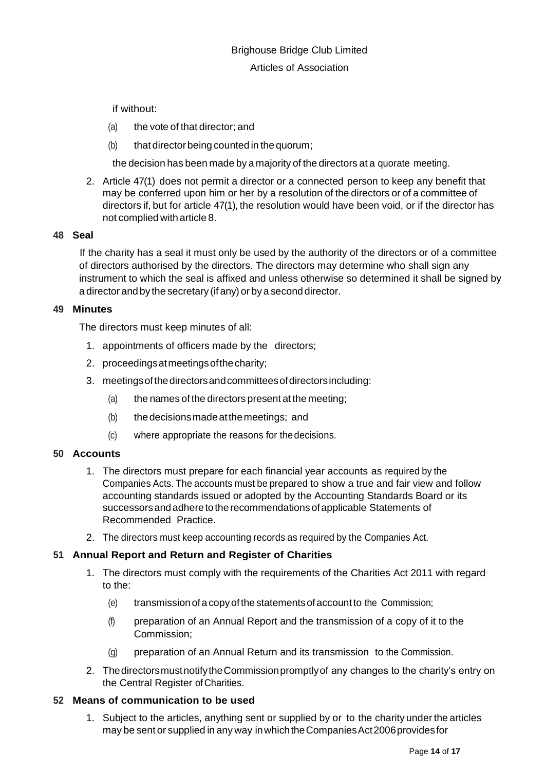if without:

- (a) the vote of that director; and
- (b) that director being counted in the quorum;

the decision has been made by a majority of the directors at a quorate meeting.

2. Article 47(1) does not permit a director or a connected person to keep any benefit that may be conferred upon him or her by a resolution of the directors or of a committee of directors if, but for article 47(1), the resolution would have been void, or if the director has not complied with article 8.

#### **48 Seal**

If the charity has a seal it must only be used by the authority of the directors or of a committee of directors authorised by the directors. The directors may determine who shall sign any instrument to which the seal is affixed and unless otherwise so determined it shall be signed by a director and by the secretary (if any) or by a second director.

#### **49 Minutes**

The directors must keep minutes of all:

- 1. appointments of officers made by the directors;
- 2. proceedingsatmeetingsofthecharity;
- 3. meetingsofthedirectorsandcommitteesofdirectorsincluding:
	- (a) the names of the directors present at the meeting;
	- (b) thedecisionsmadeatthemeetings; and
	- (c) where appropriate the reasons for thedecisions.

#### **50 Accounts**

- 1. The directors must prepare for each financial year accounts as required by the Companies Acts. The accounts must be prepared to show a true and fair view and follow accounting standards issued or adopted by the Accounting Standards Board or its successors and adhere to the recommendations of applicable Statements of Recommended Practice.
- 2. The directors must keep accounting records as required by the Companies Act.

## **51 Annual Report and Return and Register of Charities**

- 1. The directors must comply with the requirements of the Charities Act 2011 with regard to the:
	- (e) transmissionofa copyofthe statementsofaccountto the Commission;
	- (f) preparation of an Annual Report and the transmission of a copy of it to the Commission;
	- (g) preparation of an Annual Return and its transmission to the Commission.
- 2. ThedirectorsmustnotifytheCommissionpromptlyof any changes to the charity's entry on the Central Register ofCharities.

## **52 Means of communication to be used**

1. Subject to the articles, anything sent or supplied by or to the charity under the articles may be sent or supplied in any way inwhichtheCompaniesAct2006providesfor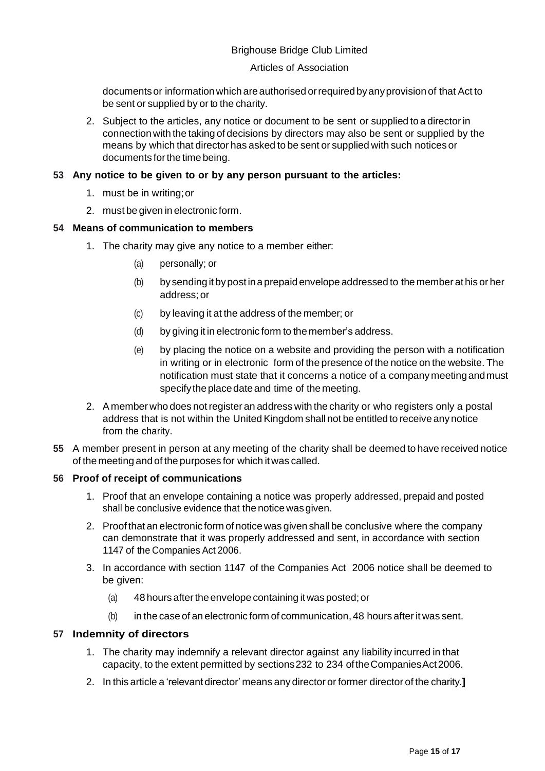### Articles of Association

documents or information which are authorised or required by any provision of that Act to be sent or supplied by or to the charity.

2. Subject to the articles, any notice or document to be sent or supplied to a directorin connection with the taking of decisions by directors may also be sent or supplied by the means by which that director has asked to be sent or supplied with such notices or documents forthe time being.

## **53 Any notice to be given to or by any person pursuant to the articles:**

- 1. must be in writing;or
- 2. must be given in electronic form.

## **54 Means of communication to members**

- 1. The charity may give any notice to a member either:
	- (a) personally; or
	- (b) bysending it bypost ina prepaid envelope addressed to the member at his or her address; or
	- (c) by leaving it at the address of the member; or
	- (d) by giving it in electronic form to the member's address.
	- (e) by placing the notice on a website and providing the person with a notification in writing or in electronic form of the presence of the notice on the website. The notification must state that it concerns a notice of a companymeetingandmust specify the place date and time of the meeting.
- 2. A member who does notregister an address with the charity or who registers only a postal address that is not within the United Kingdom shall not be entitled to receive any notice from the charity.
- **55** A member present in person at any meeting of the charity shall be deemed to have received notice of the meeting and of the purposes for which it was called.

## **56 Proof of receipt of communications**

- 1. Proof that an envelope containing a notice was properly addressed, prepaid and posted shall be conclusive evidence that the notice was given.
- 2. Proof that an electronic form of notice was given shall be conclusive where the company can demonstrate that it was properly addressed and sent, in accordance with section 1147 of the Companies Act 2006.
- 3. In accordance with section 1147 of the Companies Act 2006 notice shall be deemed to be given:
	- (a) 48 hours after the envelope containing it was posted; or
	- (b) in the case of an electronic form of communication, 48 hours after it was sent.

## **57 Indemnity of directors**

- 1. The charity may indemnify a relevant director against any liability incurred in that capacity, to the extent permitted by sections232 to 234 oftheCompaniesAct2006.
- 2. In this article a 'relevant director' means any director or former director of the charity.**]**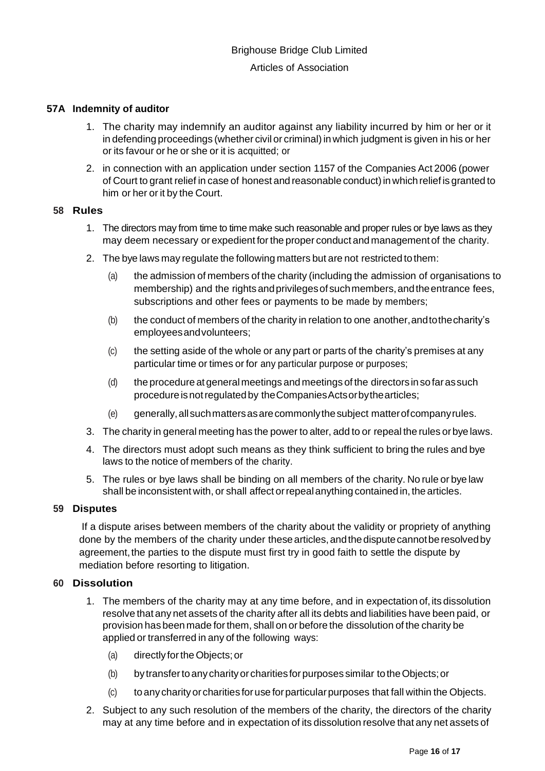#### **57A Indemnity of auditor**

- 1. The charity may indemnify an auditor against any liability incurred by him or her or it in defending proceedings (whether civil or criminal) in which judgment is given in his or her or its favour or he or she or it is acquitted; or
- 2. in connection with an application under section 1157 of the Companies Act 2006 (power of Court to grant relief in case of honest and reasonable conduct) in which relief is granted to him or her or it by the Court.

#### **58 Rules**

- 1. The directors may from time to time make such reasonable and proper rules or bye laws as they may deem necessary or expedient forthe proper conduct and management of the charity.
- 2. The bye laws may regulate the following matters but are not restricted to them:
	- (a) the admission of members of the charity (including the admission of organisations to membership) and the rightsandprivilegesof suchmembers,andtheentrance fees, subscriptions and other fees or payments to be made by members;
	- (b) the conduct of members of the charity in relation to one another, and to the charity's employeesandvolunteers;
	- (c) the setting aside of the whole or any part or parts of the charity's premises at any particular time or times or for any particular purpose or purposes;
	- (d) the procedure at general meetings and meetings of the directors insofarassuch procedure is not regulated by the Companies Acts or by the articles;
	- (e) generally,allsuchmattersasarecommonlythesubject matterofcompanyrules.
- 3. The charity in general meeting has the power to alter, add to or repeal the rules orbye laws.
- 4. The directors must adopt such means as they think sufficient to bring the rules and bye laws to the notice of members of the charity.
- 5. The rules or bye laws shall be binding on all members of the charity. No rule or bye law shall be inconsistent with, or shall affect or repeal anything contained in, the articles.

## **59 Disputes**

If a dispute arises between members of the charity about the validity or propriety of anything done by the members of the charity under these articles, and the dispute cannot be resolved by agreement, the parties to the dispute must first try in good faith to settle the dispute by mediation before resorting to litigation.

## **60 Dissolution**

- 1. The members of the charity may at any time before, and in expectation of, its dissolution resolve that any net assets of the charity after all its debts and liabilities have been paid, or provision has been made forthem, shall on or before the dissolution of the charity be applied or transferred in any of the following ways:
	- (a) directly fortheObjects;or
	- (b) bytransfertoany charityor charities forpurposes similar totheObjects;or
	- (c) toanycharityor charities foruse forparticularpurposes that fall within the Objects.
- 2. Subject to any such resolution of the members of the charity, the directors of the charity may at any time before and in expectation of its dissolution resolve that any net assets of